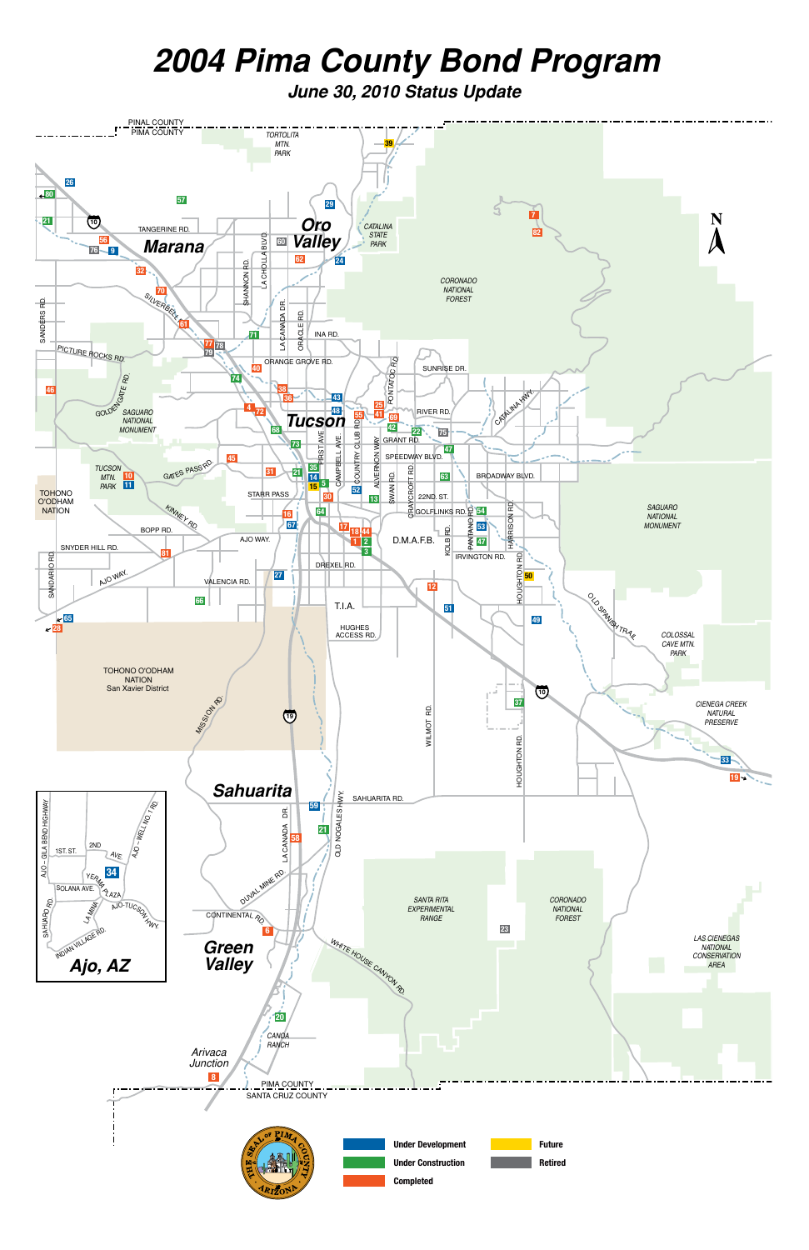# *2004 Pima County Bond Program*

*June 30, 2010 Status Update*